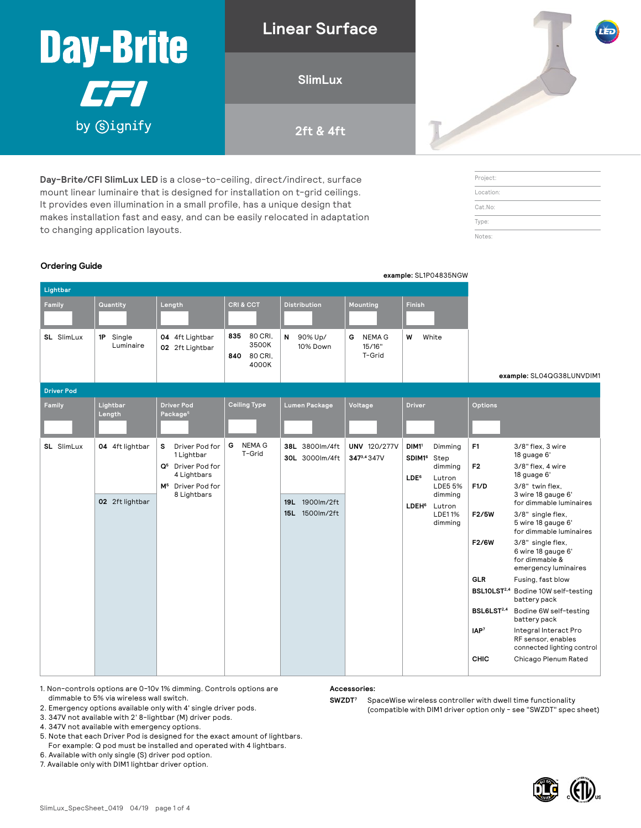| Day-Brite               | LED |
|-------------------------|-----|
| <b>SlimLux</b><br>1421  |     |
| by Signify<br>2ft & 4ft |     |

**Day-Brite/CFI SlimLux LED** is a close-to-ceiling, direct/indirect, surface mount linear luminaire that is designed for installation on t-grid ceilings. It provides even illumination in a small profile, has a unique design that makes installation fast and easy, and can be easily relocated in adaptation to changing application layouts.

### Project: Location: Cat.No: Type: Notes:

#### **Ordering Guide**

|                   |                                    |                                                                                                                                   | example: SL1P04835NGW                              |                                                                         |                                                |                                                                                                                                                                                     |                                                                                                                                                                                                                                                                                                                                                                                                                                                                                                                                                                                                                                                                              |
|-------------------|------------------------------------|-----------------------------------------------------------------------------------------------------------------------------------|----------------------------------------------------|-------------------------------------------------------------------------|------------------------------------------------|-------------------------------------------------------------------------------------------------------------------------------------------------------------------------------------|------------------------------------------------------------------------------------------------------------------------------------------------------------------------------------------------------------------------------------------------------------------------------------------------------------------------------------------------------------------------------------------------------------------------------------------------------------------------------------------------------------------------------------------------------------------------------------------------------------------------------------------------------------------------------|
| Lightbar          |                                    |                                                                                                                                   |                                                    |                                                                         |                                                |                                                                                                                                                                                     |                                                                                                                                                                                                                                                                                                                                                                                                                                                                                                                                                                                                                                                                              |
| Family            | Quantity                           | Length                                                                                                                            | CRI & CCT                                          | <b>Distribution</b>                                                     | Mounting                                       | <b>Finish</b>                                                                                                                                                                       |                                                                                                                                                                                                                                                                                                                                                                                                                                                                                                                                                                                                                                                                              |
| SL SlimLux        | 1P Single<br>Luminaire             | 04 4ft Lightbar<br>02 2ft Lightbar                                                                                                | 80 CRI,<br>835<br>3500K<br>840<br>80 CRI.<br>4000K | 90% Up/<br>N<br>10% Down                                                | <b>NEMA G</b><br>G<br>15/16"<br>T-Grid         | W<br>White                                                                                                                                                                          | example: SL04QG38LUNVDIM1                                                                                                                                                                                                                                                                                                                                                                                                                                                                                                                                                                                                                                                    |
| <b>Driver Pod</b> |                                    |                                                                                                                                   |                                                    |                                                                         |                                                |                                                                                                                                                                                     |                                                                                                                                                                                                                                                                                                                                                                                                                                                                                                                                                                                                                                                                              |
| Family            | Lightbar<br>Length                 | <b>Driver Pod</b><br>Package <sup>5</sup>                                                                                         | <b>Ceiling Type</b>                                | Lumen Package                                                           | Voltage                                        | <b>Driver</b>                                                                                                                                                                       | Options                                                                                                                                                                                                                                                                                                                                                                                                                                                                                                                                                                                                                                                                      |
| SL SlimLux        | 04 4ft lightbar<br>02 2ft lightbar | Driver Pod for<br>s<br>1 Lightbar<br>Q <sup>5</sup> Driver Pod for<br>4 Lightbars<br>M <sup>5</sup> Driver Pod for<br>8 Lightbars | <b>NEMA G</b><br>G<br>T-Grid                       | 38L 3800lm/4ft<br>30L 3000lm/4ft<br>1900lm/2ft<br>19L<br>15L 1500lm/2ft | <b>UNV 120/277V</b><br>347 <sup>3,4</sup> 347V | DIM <sub>11</sub><br>Dimming<br>SDIM1 <sup>6</sup><br>Step<br>dimming<br>LDE <sup>6</sup><br>Lutron<br>LDE5 5%<br>dimming<br><b>LDEH<sup>6</sup></b><br>Lutron<br>LDE11%<br>dimming | F <sub>1</sub><br>3/8" flex, 3 wire<br>18 guage 6'<br>3/8" flex, 4 wire<br>F <sub>2</sub><br>18 guage 6'<br>F1/D<br>3/8" twin flex,<br>3 wire 18 gauge 6'<br>for dimmable luminaires<br>F2/5W<br>3/8" single flex,<br>5 wire 18 gauge 6'<br>for dimmable luminaires<br>3/8" single flex,<br>F2/6W<br>6 wire 18 gauge 6'<br>for dimmable &<br>emergency luminaires<br><b>GLR</b><br>Fusing, fast blow<br>BSL10LST <sup>2,4</sup> Bodine 10W self-testing<br>battery pack<br>BSL6LST <sup>2,4</sup><br>Bodine 6W self-testing<br>battery pack<br>IAP <sup>7</sup><br>Integral Interact Pro<br>RF sensor, enables<br>connected lighting control<br>CHIC<br>Chicago Plenum Rated |

- 1. Non-controls options are 0-10v 1% dimming. Controls options are dimmable to 5% via wireless wall switch.
- 2. Emergency options available only with 4' single driver pods.
- 3. 347V not available with 2' 8-lightbar (M) driver pods.
- 4. 347V not available with emergency options.
- 5. Note that each Driver Pod is designed for the exact amount of lightbars. For example: Q pod must be installed and operated with 4 lightbars.
- 6. Available with only single (S) driver pod option.
- 

7. Available only with DIM1 lightbar driver option.

**Accessories:**

**SWZDT7** SpaceWise wireless controller with dwell time functionality (compatible with DIM1 driver option only - see "SWZDT" spec sheet)

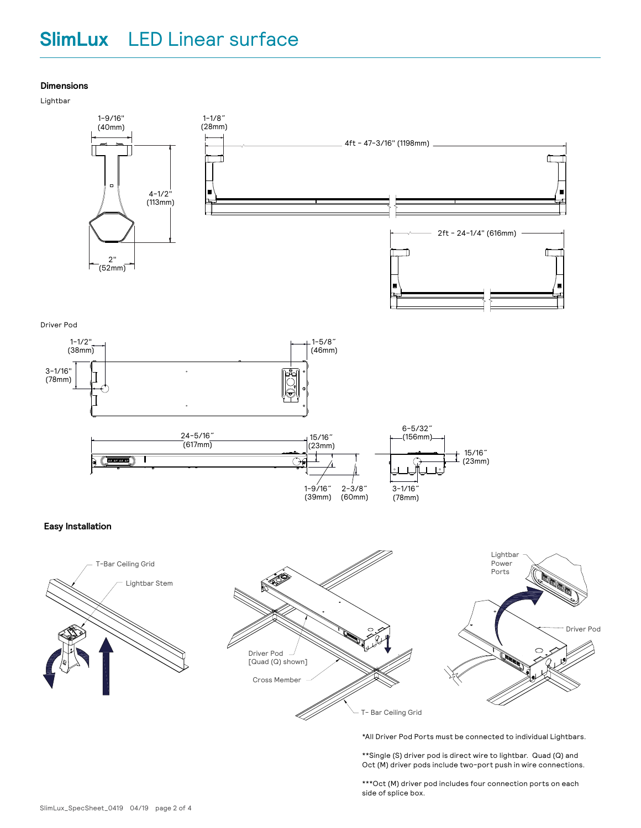## **SlimLux** LED Linear surface

#### **Dimensions**

Lightbar





\*All Driver Pod Ports must be connected to individual Lightbars.

\*\*Single (S) driver pod is direct wire to lightbar. Quad (Q) and Oct (M) driver pods include two-port push in wire connections.

\*\*\*Oct (M) driver pod includes four connection ports on each side of splice box.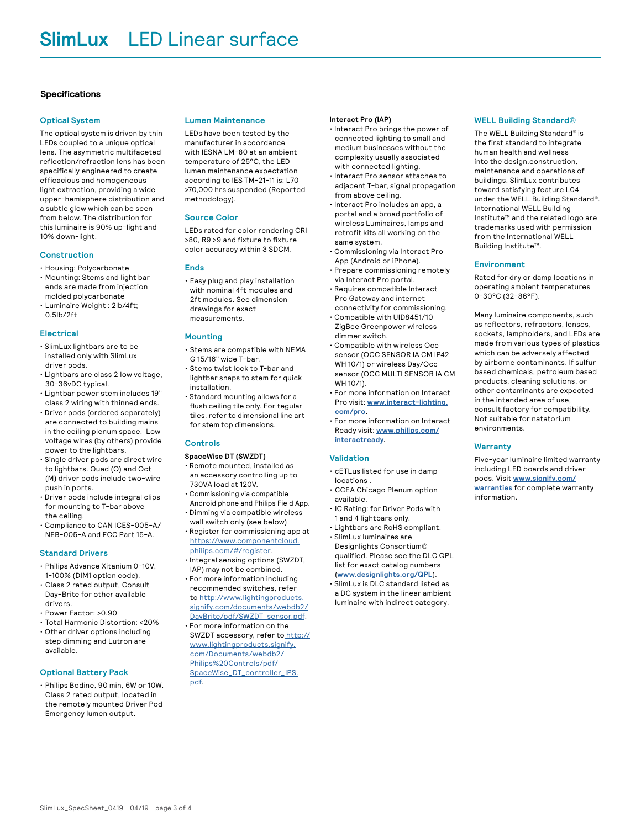#### **Specifications**

#### **Optical System**

The optical system is driven by thin LEDs coupled to a unique optical lens. The asymmetric multifaceted reflection/refraction lens has been specifically engineered to create efficacious and homogeneous light extraction, providing a wide upper-hemisphere distribution and a subtle glow which can be seen from below. The distribution for this luminaire is 90% up-light and 10% down-light.

#### **Construction**

- Housing: Polycarbonate
- Mounting: Stems and light bar ends are made from injection molded polycarbonate
- Luminaire Weight : 2lb/4ft; 0.5lb/2ft

#### **Electrical**

- SlimLux lightbars are to be installed only with SlimLux driver pods.
- Lightbars are class 2 low voltage, 30-36vDC typical.
- Lightbar power stem includes 19" class 2 wiring with thinned ends.
- Driver pods (ordered separately) are connected to building mains in the ceiling plenum space. Low voltage wires (by others) provide power to the lightbars.
- Single driver pods are direct wire to lightbars. Quad (Q) and Oct (M) driver pods include two-wire push in ports.
- Driver pods include integral clips for mounting to T-bar above the ceiling.
- Compliance to CAN ICES-005-A/ NEB-005-A and FCC Part 15-A.

#### **Standard Drivers**

- Philips Advance Xitanium 0-10V, 1-100% (DIM1 option code).
- Class 2 rated output, Consult Day-Brite for other available drivers.
- Power Factor: >0.90
- Total Harmonic Distortion: <20%
- Other driver options including step dimming and Lutron are available.

#### **Optional Battery Pack**

• Philips Bodine, 90 min, 6W or 10W. Class 2 rated output, located in the remotely mounted Driver Pod Emergency lumen output.

#### **Lumen Maintenance**

LEDs have been tested by the manufacturer in accordance with IESNA LM-80 at an ambient temperature of 25°C, the LED lumen maintenance expectation according to IES TM-21-11 is: L70 >70,000 hrs suspended (Reported methodology).

#### **Source Color**

LEDs rated for color rendering CRI >80, R9 >9 and fixture to fixture color accuracy within 3 SDCM.

#### **Ends**

• Easy plug and play installation with nominal 4ft modules and 2ft modules. See dimension drawings for exact measurements.

#### **Mounting**

- Stems are compatible with NEMA G 15/16" wide T-bar. • Stems twist lock to T-bar and
- lightbar snaps to stem for quick installation. • Standard mounting allows for a
- flush ceiling tile only. For tegular tiles, refer to dimensional line art for stem top dimensions.

#### **Controls**

#### **SpaceWise DT (SWZDT)**

- Remote mounted, installed as an accessory controlling up to 730VA load at 120V.
- Commissioning via compatible Android phone and Philips Field App.
- Dimming via compatible wireless wall switch only (see below)
- Register for commissioning app at [https://www.componentcloud.](https://www.componentcloud.philips.com/#/register) [philips.com/#/register](https://www.componentcloud.philips.com/#/register).
- Integral sensing options (SWZDT, IAP) may not be combined.
- For more information including recommended switches, refer to [http://www.lightingproducts.](http://www.lightingproducts.signify.com/documents/webdb2/DayBrite/pdf/SWZDT_sensor.pdf) [signify.com/documents/webdb2/](http://www.lightingproducts.signify.com/documents/webdb2/DayBrite/pdf/SWZDT_sensor.pdf) [DayBrite/pdf/SWZDT\\_sensor.pdf](http://www.lightingproducts.signify.com/documents/webdb2/DayBrite/pdf/SWZDT_sensor.pdf).
- For more information on the SWZDT accessory, refer to<http://> [www.lightingproducts.signify.](http://) [com/Documents/webdb2/](http://) [Philips%20Controls/pdf/](http://) [SpaceWise\\_DT\\_controller\\_IPS.](http://) [pdf.](http://)

#### **Interact Pro (IAP)**

- Interact Pro brings the power of connected lighting to small and medium businesses without the complexity usually associated with connected lighting.
- Interact Pro sensor attaches to adjacent T-bar, signal propagation from above ceiling.
- Interact Pro includes an app, a portal and a broad portfolio of wireless Luminaires, lamps and retrofit kits all working on the same system.
- Commissioning via Interact Pro App (Android or iPhone).
- Prepare commissioning remotely via Interact Pro portal.
- Requires compatible Interact Pro Gateway and internet connectivity for commissioning.
- Compatible with UID8451/10 ZigBee Greenpower wireless dimmer switch.
- Compatible with wireless Occ sensor (OCC SENSOR IA CM IP42 WH 10/1) or wireless Day/Occ sensor (OCC MULTI SENSOR IA CM WH 10/1).
- For more information on Interact Pro visit: **[www.interact-lighting.](http://www.interact-lighting.com/pro) [com/pro](http://www.interact-lighting.com/pro).**
- For more information on Interact Ready visit: **[www.philips.com/](http://www.philips.com/interactready) [interactready](http://www.philips.com/interactready).**

#### **Validation**

- cETLus listed for use in damp locations .
- CCEA Chicago Plenum option available.
- IC Rating: for Driver Pods with 1 and 4 lightbars only.
- Lightbars are RoHS compliant. • SlimLux luminaires are
- Designlights Consortium® qualified. Please see the DLC QPL list for exact catalog numbers (**[www.designlights.org/QPL](http://www.designlights.org/QPL)**).
- SlimLux is DLC standard listed as a DC system in the linear ambient luminaire with indirect category.

#### **WELL Building Standard®**

The WELL Building Standard® is the first standard to integrate human health and wellness into the design,construction, maintenance and operations of buildings. SlimLux contributes toward satisfying feature L04 under the WELL Building Standard®. International WELL Building Institute™ and the related logo are trademarks used with permission from the International WELL Building Institute™.

#### **Environment**

Rated for dry or damp locations in operating ambient temperatures 0-30°C (32-86°F).

Many luminaire components, such as reflectors, refractors, lenses, sockets, lampholders, and LEDs are made from various types of plastics which can be adversely affected by airborne contaminants. If sulfur based chemicals, petroleum based products, cleaning solutions, or other contaminants are expected in the intended area of use, consult factory for compatibility. Not suitable for natatorium environments.

#### **Warranty**

Five-year luminaire limited warranty including LED boards and driver pods. Visit **[www.signify.com/](http://www.signify.com/warranties) [warranties](http://www.signify.com/warranties)** for complete warranty information.